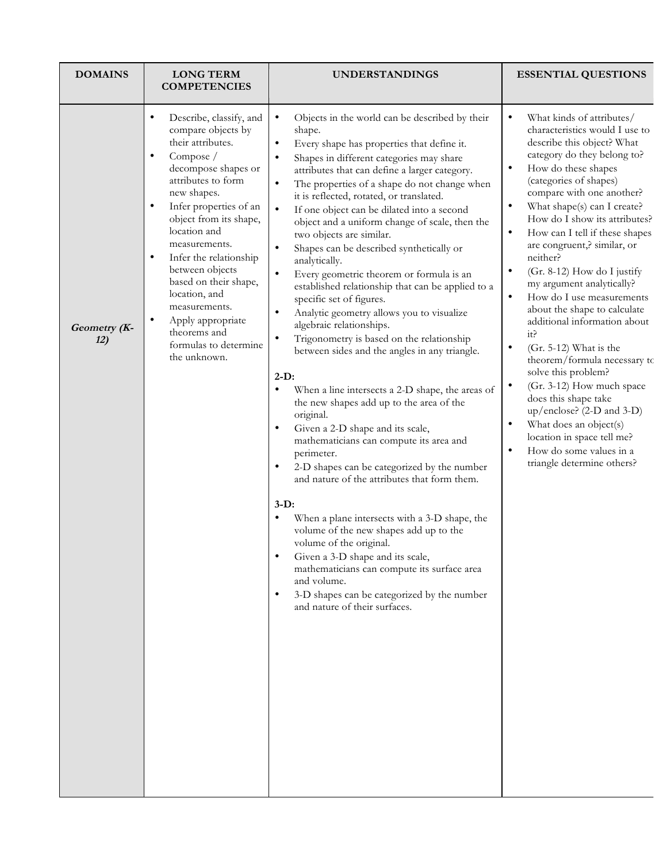| <b>DOMAINS</b>      | <b>LONG TERM</b><br><b>COMPETENCIES</b>                                                                                                                                                                                                                                                                                                                                                                                                                                                 | <b>UNDERSTANDINGS</b>                                                                                                                                                                                                                                                                                                                                                                                                                                                                                                                                                                                                                                                                                                                                                                                                                                                                                                                                                                                                                                                                                                                                                                                                                                                                                                                                                                                                                                                                                                                                                 | <b>ESSENTIAL QUESTIONS</b>                                                                                                                                                                                                                                                                                                                                                                                                                                                                                                                                                                                                                                                                                                                                                                                                                                                                                                    |
|---------------------|-----------------------------------------------------------------------------------------------------------------------------------------------------------------------------------------------------------------------------------------------------------------------------------------------------------------------------------------------------------------------------------------------------------------------------------------------------------------------------------------|-----------------------------------------------------------------------------------------------------------------------------------------------------------------------------------------------------------------------------------------------------------------------------------------------------------------------------------------------------------------------------------------------------------------------------------------------------------------------------------------------------------------------------------------------------------------------------------------------------------------------------------------------------------------------------------------------------------------------------------------------------------------------------------------------------------------------------------------------------------------------------------------------------------------------------------------------------------------------------------------------------------------------------------------------------------------------------------------------------------------------------------------------------------------------------------------------------------------------------------------------------------------------------------------------------------------------------------------------------------------------------------------------------------------------------------------------------------------------------------------------------------------------------------------------------------------------|-------------------------------------------------------------------------------------------------------------------------------------------------------------------------------------------------------------------------------------------------------------------------------------------------------------------------------------------------------------------------------------------------------------------------------------------------------------------------------------------------------------------------------------------------------------------------------------------------------------------------------------------------------------------------------------------------------------------------------------------------------------------------------------------------------------------------------------------------------------------------------------------------------------------------------|
| Geometry (K-<br>12) | Describe, classify, and<br>$\bullet$<br>compare objects by<br>their attributes.<br>Compose /<br>$\bullet$<br>decompose shapes or<br>attributes to form<br>new shapes.<br>Infer properties of an<br>$\bullet$<br>object from its shape,<br>location and<br>measurements.<br>Infer the relationship<br>$\bullet$<br>between objects<br>based on their shape,<br>location, and<br>measurements.<br>$\bullet$<br>Apply appropriate<br>theorems and<br>formulas to determine<br>the unknown. | Objects in the world can be described by their<br>$\bullet$<br>shape.<br>Every shape has properties that define it.<br>$\bullet$<br>Shapes in different categories may share<br>attributes that can define a larger category.<br>The properties of a shape do not change when<br>$\bullet$<br>it is reflected, rotated, or translated.<br>$\bullet$<br>If one object can be dilated into a second<br>object and a uniform change of scale, then the<br>two objects are similar.<br>Shapes can be described synthetically or<br>$\bullet$<br>analytically.<br>Every geometric theorem or formula is an<br>$\bullet$<br>established relationship that can be applied to a<br>specific set of figures.<br>Analytic geometry allows you to visualize<br>$\bullet$<br>algebraic relationships.<br>Trigonometry is based on the relationship<br>between sides and the angles in any triangle.<br>$2-D$ :<br>When a line intersects a 2-D shape, the areas of<br>the new shapes add up to the area of the<br>original.<br>Given a 2-D shape and its scale,<br>mathematicians can compute its area and<br>perimeter.<br>2-D shapes can be categorized by the number<br>$\bullet$<br>and nature of the attributes that form them.<br>$3-D$ :<br>When a plane intersects with a 3-D shape, the<br>$\bullet$<br>volume of the new shapes add up to the<br>volume of the original.<br>Given a 3-D shape and its scale,<br>mathematicians can compute its surface area<br>and volume.<br>3-D shapes can be categorized by the number<br>$\bullet$<br>and nature of their surfaces. | What kinds of attributes/<br>$\bullet$<br>characteristics would I use to<br>describe this object? What<br>category do they belong to?<br>How do these shapes<br>٠<br>(categories of shapes)<br>compare with one another?<br>What shape(s) can I create?<br>$\bullet$<br>How do I show its attributes?<br>How can I tell if these shapes<br>$\bullet$<br>are congruent,? similar, or<br>neither?<br>(Gr. 8-12) How do I justify<br>٠<br>my argument analytically?<br>$\bullet$<br>How do I use measurements<br>about the shape to calculate<br>additional information about<br>it?<br>$(Gr. 5-12)$ What is the<br>$\bullet$<br>theorem/formula necessary to<br>solve this problem?<br>(Gr. 3-12) How much space<br>$\bullet$<br>does this shape take<br>$up/enclose?$ (2-D and 3-D)<br>What does an object(s)<br>$\bullet$<br>location in space tell me?<br>How do some values in a<br>$\bullet$<br>triangle determine others? |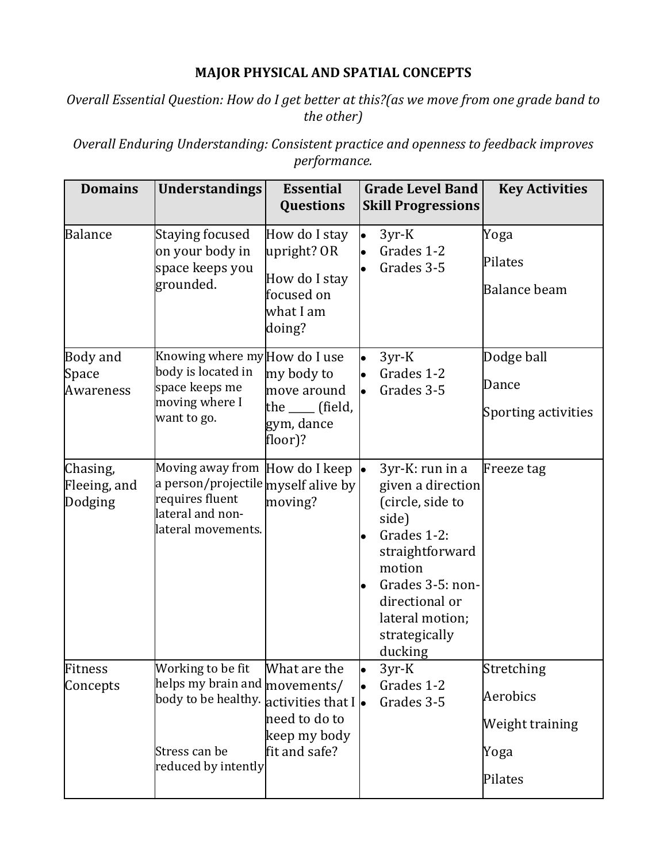## **MAJOR PHYSICAL AND SPATIAL CONCEPTS**

### *Overall Essential Question: How do I get better at this?(as we move from one grade band to the other)*

**Overall Enduring Understanding: Consistent practice and openness to feedback improves** *performance.*

| <b>Domains</b>                        | <b>Understandings</b>                                                                                                                                   | <b>Essential</b><br>Questions                                                      | <b>Grade Level Band</b><br><b>Skill Progressions</b>                                                                                                                                                            | <b>Key Activities</b>                                        |
|---------------------------------------|---------------------------------------------------------------------------------------------------------------------------------------------------------|------------------------------------------------------------------------------------|-----------------------------------------------------------------------------------------------------------------------------------------------------------------------------------------------------------------|--------------------------------------------------------------|
| <b>Balance</b>                        | <b>Staying focused</b><br>on your body in<br>space keeps you<br>grounded.                                                                               | How do I stay<br>upright? OR<br>How do I stay<br>focused on<br>what I am<br>doing? | $3yr-K$<br>Grades 1-2<br>Grades 3-5                                                                                                                                                                             | Yoga<br>Pilates<br><b>Balance beam</b>                       |
| Body and<br>Space<br><b>Awareness</b> | Knowing where my How do I use<br>body is located in<br>space keeps me<br>moving where I<br>want to go.                                                  | my body to<br>move around<br>the ____ (field,<br>gym, dance<br>floor)?             | 3yr-K<br>l.<br>Grades 1-2<br>Grades 3-5                                                                                                                                                                         | Dodge ball<br>Dance<br>Sporting activities                   |
| Chasing,<br>Fleeing, and<br>Dodging   | Moving away from How do I keep<br>a person/projectile myself alive by<br>requires fluent<br>lateral and non-<br>lateral movements.                      | moving?                                                                            | 3yr-K: run in a<br>$\bullet$<br>given a direction<br>(circle, side to<br>side)<br>Grades 1-2:<br>straightforward<br>motion<br>Grades 3-5: non-<br>directional or<br>lateral motion;<br>strategically<br>ducking | Freeze tag                                                   |
| Fitness<br>Concepts                   | Working to be fit<br>helps my brain and $ {\rm movements}/ $<br>body to be healthy. activities that $I \bullet$<br>Stress can be<br>reduced by intently | What are the<br>need to do to<br>keep my body<br>fit and safe?                     | $3yr-K$<br>lo<br>Grades 1-2<br>Grades 3-5                                                                                                                                                                       | Stretching<br>Aerobics<br>Weight training<br>Yoga<br>Pilates |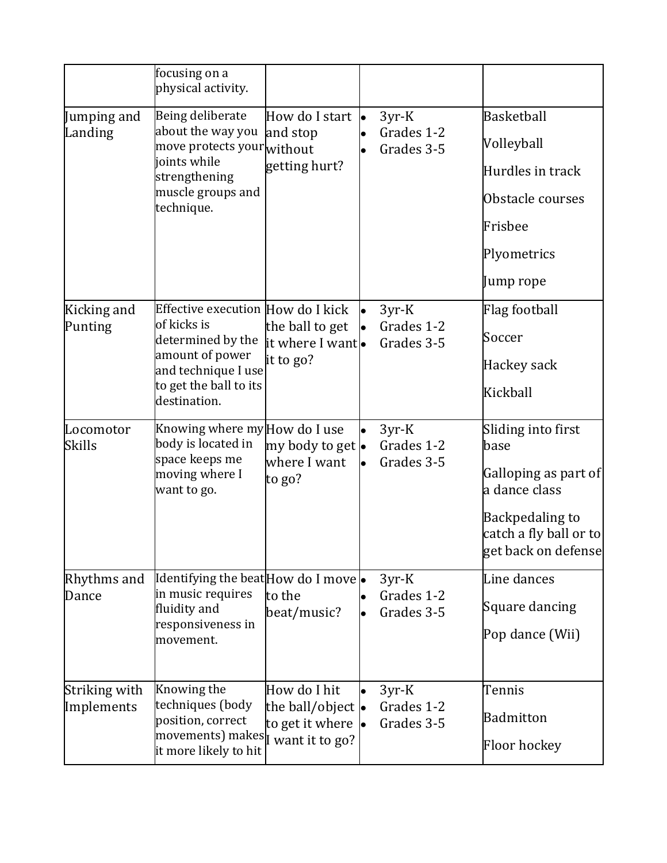|                             | focusing on a<br>physical activity.                                                                                                                       |                                                                        |    |                                     |                                                                                                                                         |
|-----------------------------|-----------------------------------------------------------------------------------------------------------------------------------------------------------|------------------------------------------------------------------------|----|-------------------------------------|-----------------------------------------------------------------------------------------------------------------------------------------|
| Jumping and<br>Landing      | Being deliberate<br>about the way you<br>move protects your $ $ without<br>joints while<br>strengthening<br>muscle groups and<br>technique.               | How do I start <b>.</b><br>and stop<br>getting hurt?                   |    | $3yr-K$<br>Grades 1-2<br>Grades 3-5 | <b>Basketball</b><br>Volleyball<br>Hurdles in track<br>Obstacle courses<br>Frisbee<br>Plyometrics                                       |
| Kicking and<br>Punting      | Effective execution How do I kick<br>of kicks is<br>determined by the<br>amount of power<br>and technique I use<br>to get the ball to its<br>destination. | the ball to get<br>it where I want.<br>it to go?                       | le | $3yr-K$<br>Grades 1-2<br>Grades 3-5 | Jump rope<br>Flag football<br>Soccer<br>Hackey sack<br>Kickball                                                                         |
| Locomotor<br><b>Skills</b>  | Knowing where my How do I use<br>body is located in<br>space keeps me<br>moving where I<br>want to go.                                                    | my body to get •<br>where I want<br>to go?                             | lo | $3yr-K$<br>Grades 1-2<br>Grades 3-5 | Sliding into first<br>base<br>Galloping as part of<br>a dance class<br>Backpedaling to<br>catch a fly ball or to<br>get back on defense |
| Rhythms and<br>Dance        | Identifying the beat How do I move $\bullet$<br>in music requires<br>fluidity and<br>responsiveness in<br>movement.                                       | to the<br>beat/music?                                                  |    | $3yr-K$<br>Grades 1-2<br>Grades 3-5 | Line dances<br>Square dancing<br>Pop dance (Wii)                                                                                        |
| Striking with<br>Implements | Knowing the<br>techniques (body<br>position, correct<br>movements) makes   want it to go?<br>it more likely to hit                                        | How do I hit<br>the ball/object $\bullet$<br>to get it where $\bullet$ |    | $3yr-K$<br>Grades 1-2<br>Grades 3-5 | Tennis<br><b>Badmitton</b><br><b>Floor hockey</b>                                                                                       |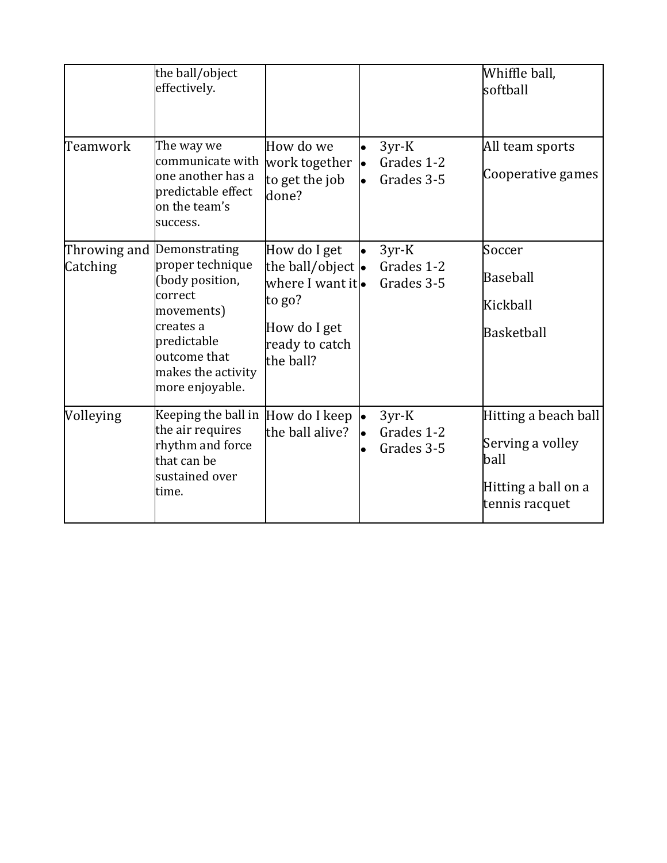|           | the ball/object<br>effectively.                                                                                                                                                 |                                                                                                                         |           |                                     | Whiffle ball,<br>softball                                                                 |
|-----------|---------------------------------------------------------------------------------------------------------------------------------------------------------------------------------|-------------------------------------------------------------------------------------------------------------------------|-----------|-------------------------------------|-------------------------------------------------------------------------------------------|
| Teamwork  | The way we<br>communicate with<br>one another has a<br>predictable effect<br>on the team's<br>success.                                                                          | How do we<br>work together<br>to get the job<br>done?                                                                   | <b>le</b> | $3yr-K$<br>Grades 1-2<br>Grades 3-5 | All team sports<br>Cooperative games                                                      |
| Catching  | Throwing and Demonstrating<br>proper technique<br>(body position,<br>correct<br>movements)<br>creates a<br>predictable<br>outcome that<br>makes the activity<br>more enjoyable. | How do I get<br>the ball/object $\bullet$<br>where I want itlo<br>to go?<br>How do I get<br>ready to catch<br>the ball? |           | $3yr-K$<br>Grades 1-2<br>Grades 3-5 | Soccer<br><b>Baseball</b><br>Kickball<br>Basketball                                       |
| Volleying | Keeping the ball in How do I keep<br>the air requires<br>rhythm and force<br>that can be<br>sustained over<br>time.                                                             | the ball alive?                                                                                                         | le        | $3yr-K$<br>Grades 1-2<br>Grades 3-5 | Hitting a beach ball<br>Serving a volley<br>ball<br>Hitting a ball on a<br>tennis racquet |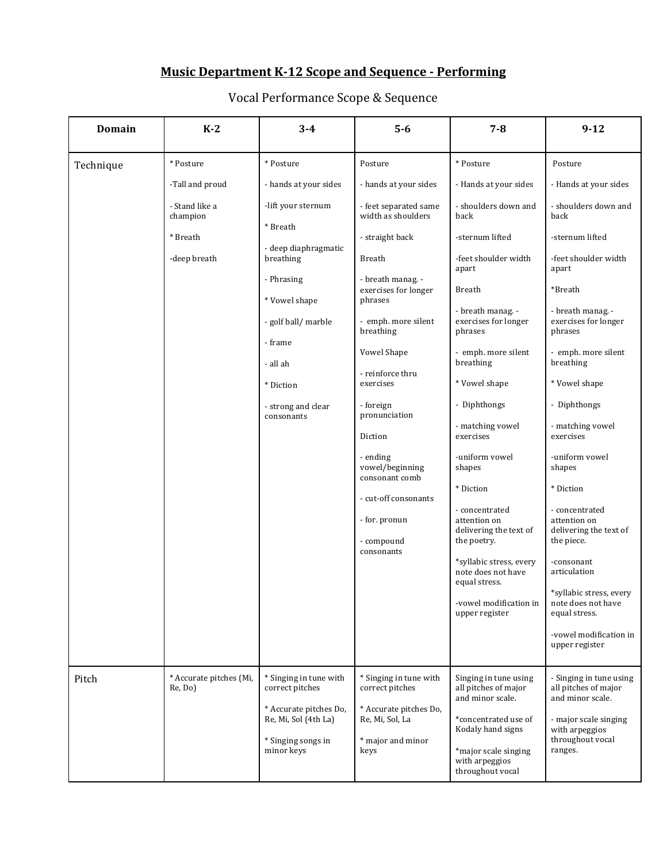# **Music Department K-12 Scope and Sequence - Performing**

| <b>Domain</b> | $K-2$                                                  | $3 - 4$                                                                                                                                                                                           | $5-6$                                                                                                                                                                                                                                                                                                                                                                                      | $7 - 8$                                                                                                                                                                                                                                                                                                                                                                                                 | $9 - 12$                                                                                                                                                                                                                                                                                                                                                                                   |
|---------------|--------------------------------------------------------|---------------------------------------------------------------------------------------------------------------------------------------------------------------------------------------------------|--------------------------------------------------------------------------------------------------------------------------------------------------------------------------------------------------------------------------------------------------------------------------------------------------------------------------------------------------------------------------------------------|---------------------------------------------------------------------------------------------------------------------------------------------------------------------------------------------------------------------------------------------------------------------------------------------------------------------------------------------------------------------------------------------------------|--------------------------------------------------------------------------------------------------------------------------------------------------------------------------------------------------------------------------------------------------------------------------------------------------------------------------------------------------------------------------------------------|
| Technique     | * Posture                                              | * Posture                                                                                                                                                                                         | Posture                                                                                                                                                                                                                                                                                                                                                                                    | * Posture                                                                                                                                                                                                                                                                                                                                                                                               | Posture                                                                                                                                                                                                                                                                                                                                                                                    |
|               | -Tall and proud                                        | - hands at your sides                                                                                                                                                                             | - hands at your sides                                                                                                                                                                                                                                                                                                                                                                      | - Hands at your sides                                                                                                                                                                                                                                                                                                                                                                                   | - Hands at your sides                                                                                                                                                                                                                                                                                                                                                                      |
|               | - Stand like a<br>champion<br>* Breath<br>-deep breath | -lift your sternum<br>* Breath<br>- deep diaphragmatic<br>breathing<br>- Phrasing<br>* Vowel shape<br>- golf ball/ marble<br>- frame<br>- all ah<br>* Diction<br>- strong and clear<br>consonants | - feet separated same<br>width as shoulders<br>- straight back<br><b>Breath</b><br>- breath manag. -<br>exercises for longer<br>phrases<br>- emph. more silent<br>breathing<br>Vowel Shape<br>- reinforce thru<br>exercises<br>- foreign<br>pronunciation<br>Diction<br>- ending<br>vowel/beginning<br>consonant comb<br>- cut-off consonants<br>- for. pronun<br>- compound<br>consonants | - shoulders down and<br>back<br>-sternum lifted<br>-feet shoulder width<br>apart<br>Breath<br>- breath manag. -<br>exercises for longer<br>phrases<br>- emph. more silent<br>breathing<br>* Vowel shape<br>- Diphthongs<br>- matching vowel<br>exercises<br>-uniform vowel<br>shapes<br>* Diction<br>- concentrated<br>attention on<br>delivering the text of<br>the poetry.<br>*syllabic stress, every | - shoulders down and<br>back<br>-sternum lifted<br>-feet shoulder width<br>apart<br>*Breath<br>- breath manag. -<br>exercises for longer<br>phrases<br>- emph. more silent<br>breathing<br>* Vowel shape<br>- Diphthongs<br>- matching vowel<br>exercises<br>-uniform vowel<br>shapes<br>* Diction<br>- concentrated<br>attention on<br>delivering the text of<br>the piece.<br>-consonant |
|               |                                                        |                                                                                                                                                                                                   |                                                                                                                                                                                                                                                                                                                                                                                            | note does not have<br>equal stress.<br>-vowel modification in<br>upper register                                                                                                                                                                                                                                                                                                                         | articulation<br>*syllabic stress, every<br>note does not have<br>equal stress.<br>-vowel modification in<br>upper register                                                                                                                                                                                                                                                                 |
| Pitch         | * Accurate pitches (Mi,<br>Re, Do)                     | * Singing in tune with<br>correct pitches<br>* Accurate pitches Do,<br>Re, Mi, Sol (4th La)<br>* Singing songs in<br>minor keys                                                                   | * Singing in tune with<br>correct pitches<br>* Accurate pitches Do,<br>Re, Mi, Sol, La<br>* major and minor<br>keys                                                                                                                                                                                                                                                                        | Singing in tune using<br>all pitches of major<br>and minor scale.<br>*concentrated use of<br>Kodaly hand signs<br>*major scale singing<br>with arpeggios<br>throughout vocal                                                                                                                                                                                                                            | - Singing in tune using<br>all pitches of major<br>and minor scale.<br>- major scale singing<br>with arpeggios<br>throughout vocal<br>ranges.                                                                                                                                                                                                                                              |

## Vocal Performance Scope & Sequence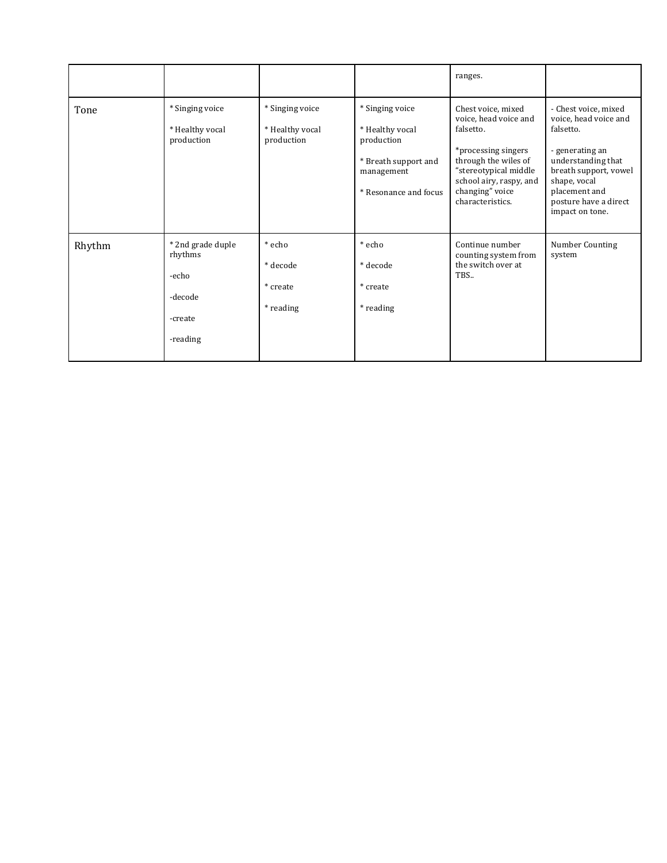|        |                                                                         |                                                  |                                                                                                                 | ranges.                                                                                                                                                                                            |                                                                                                                                                                                                           |
|--------|-------------------------------------------------------------------------|--------------------------------------------------|-----------------------------------------------------------------------------------------------------------------|----------------------------------------------------------------------------------------------------------------------------------------------------------------------------------------------------|-----------------------------------------------------------------------------------------------------------------------------------------------------------------------------------------------------------|
| Tone   | * Singing voice<br>* Healthy vocal<br>production                        | * Singing voice<br>* Healthy vocal<br>production | * Singing voice<br>* Healthy vocal<br>production<br>* Breath support and<br>management<br>* Resonance and focus | Chest voice, mixed<br>voice, head voice and<br>falsetto.<br>*processing singers<br>through the wiles of<br>"stereotypical middle<br>school airy, raspy, and<br>changing" voice<br>characteristics. | - Chest voice, mixed<br>voice, head voice and<br>falsetto.<br>- generating an<br>understanding that<br>breath support, vowel<br>shape, vocal<br>placement and<br>posture have a direct<br>impact on tone. |
| Rhythm | * 2nd grade duple<br>rhythms<br>-echo<br>-decode<br>-create<br>-reading | * echo<br>* decode<br>* create<br>* reading      | * echo<br>* decode<br>* create<br>* reading                                                                     | Continue number<br>counting system from<br>the switch over at<br>TBS                                                                                                                               | Number Counting<br>system                                                                                                                                                                                 |